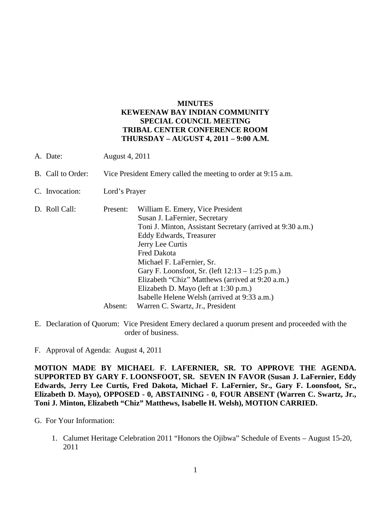### **MINUTES KEWEENAW BAY INDIAN COMMUNITY SPECIAL COUNCIL MEETING TRIBAL CENTER CONFERENCE ROOM THURSDAY – AUGUST 4, 2011 – 9:00 A.M.**

- A. Date: August 4, 2011
- B. Call to Order: Vice President Emery called the meeting to order at 9:15 a.m.
- C. Invocation: Lord's Prayer
- D. Roll Call: Present: William E. Emery, Vice President Susan J. LaFernier, Secretary Toni J. Minton, Assistant Secretary (arrived at 9:30 a.m.) Eddy Edwards, Treasurer Jerry Lee Curtis Fred Dakota Michael F. LaFernier, Sr. Gary F. Loonsfoot, Sr. (left 12:13 – 1:25 p.m.) Elizabeth "Chiz" Matthews (arrived at 9:20 a.m.) Elizabeth D. Mayo (left at 1:30 p.m.) Isabelle Helene Welsh (arrived at 9:33 a.m.) Absent: Warren C. Swartz, Jr., President
- E. Declaration of Quorum: Vice President Emery declared a quorum present and proceeded with the order of business.
- F. Approval of Agenda: August 4, 2011

**MOTION MADE BY MICHAEL F. LAFERNIER, SR. TO APPROVE THE AGENDA. SUPPORTED BY GARY F. LOONSFOOT, SR. SEVEN IN FAVOR (Susan J. LaFernier, Eddy Edwards, Jerry Lee Curtis, Fred Dakota, Michael F. LaFernier, Sr., Gary F. Loonsfoot, Sr., Elizabeth D. Mayo), OPPOSED - 0, ABSTAINING - 0, FOUR ABSENT (Warren C. Swartz, Jr., Toni J. Minton, Elizabeth "Chiz" Matthews, Isabelle H. Welsh), MOTION CARRIED.**

- G. For Your Information:
	- 1. Calumet Heritage Celebration 2011 "Honors the Ojibwa" Schedule of Events August 15-20, 2011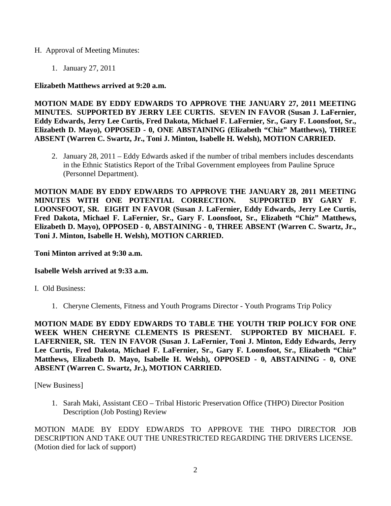#### H. Approval of Meeting Minutes:

1. January 27, 2011

# **Elizabeth Matthews arrived at 9:20 a.m.**

**MOTION MADE BY EDDY EDWARDS TO APPROVE THE JANUARY 27, 2011 MEETING MINUTES. SUPPORTED BY JERRY LEE CURTIS. SEVEN IN FAVOR (Susan J. LaFernier, Eddy Edwards, Jerry Lee Curtis, Fred Dakota, Michael F. LaFernier, Sr., Gary F. Loonsfoot, Sr., Elizabeth D. Mayo), OPPOSED - 0, ONE ABSTAINING (Elizabeth "Chiz" Matthews), THREE ABSENT (Warren C. Swartz, Jr., Toni J. Minton, Isabelle H. Welsh), MOTION CARRIED.**

2. January 28, 2011 – Eddy Edwards asked if the number of tribal members includes descendants in the Ethnic Statistics Report of the Tribal Government employees from Pauline Spruce (Personnel Department).

**MOTION MADE BY EDDY EDWARDS TO APPROVE THE JANUARY 28, 2011 MEETING MINUTES WITH ONE POTENTIAL CORRECTION. SUPPORTED BY GARY F. LOONSFOOT, SR. EIGHT IN FAVOR (Susan J. LaFernier, Eddy Edwards, Jerry Lee Curtis, Fred Dakota, Michael F. LaFernier, Sr., Gary F. Loonsfoot, Sr., Elizabeth "Chiz" Matthews, Elizabeth D. Mayo), OPPOSED - 0, ABSTAINING - 0, THREE ABSENT (Warren C. Swartz, Jr., Toni J. Minton, Isabelle H. Welsh), MOTION CARRIED.**

## **Toni Minton arrived at 9:30 a.m.**

# **Isabelle Welsh arrived at 9:33 a.m.**

I. Old Business:

1. Cheryne Clements, Fitness and Youth Programs Director - Youth Programs Trip Policy

**MOTION MADE BY EDDY EDWARDS TO TABLE THE YOUTH TRIP POLICY FOR ONE WEEK WHEN CHERYNE CLEMENTS IS PRESENT. SUPPORTED BY MICHAEL F. LAFERNIER, SR. TEN IN FAVOR (Susan J. LaFernier, Toni J. Minton, Eddy Edwards, Jerry Lee Curtis, Fred Dakota, Michael F. LaFernier, Sr., Gary F. Loonsfoot, Sr., Elizabeth "Chiz" Matthews, Elizabeth D. Mayo, Isabelle H. Welsh), OPPOSED - 0, ABSTAINING - 0, ONE ABSENT (Warren C. Swartz, Jr.), MOTION CARRIED.**

[New Business]

1. Sarah Maki, Assistant CEO – Tribal Historic Preservation Office (THPO) Director Position Description (Job Posting) Review

MOTION MADE BY EDDY EDWARDS TO APPROVE THE THPO DIRECTOR JOB DESCRIPTION AND TAKE OUT THE UNRESTRICTED REGARDING THE DRIVERS LICENSE. (Motion died for lack of support)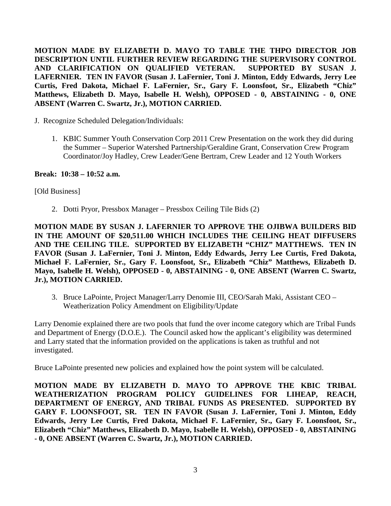**MOTION MADE BY ELIZABETH D. MAYO TO TABLE THE THPO DIRECTOR JOB DESCRIPTION UNTIL FURTHER REVIEW REGARDING THE SUPERVISORY CONTROL AND CLARIFICATION ON QUALIFIED VETERAN. SUPPORTED BY SUSAN J. LAFERNIER. TEN IN FAVOR (Susan J. LaFernier, Toni J. Minton, Eddy Edwards, Jerry Lee Curtis, Fred Dakota, Michael F. LaFernier, Sr., Gary F. Loonsfoot, Sr., Elizabeth "Chiz" Matthews, Elizabeth D. Mayo, Isabelle H. Welsh), OPPOSED - 0, ABSTAINING - 0, ONE ABSENT (Warren C. Swartz, Jr.), MOTION CARRIED.**

J. Recognize Scheduled Delegation/Individuals:

1. KBIC Summer Youth Conservation Corp 2011 Crew Presentation on the work they did during the Summer – Superior Watershed Partnership/Geraldine Grant, Conservation Crew Program Coordinator/Joy Hadley, Crew Leader/Gene Bertram, Crew Leader and 12 Youth Workers

**Break: 10:38 – 10:52 a.m.** 

[Old Business]

2. Dotti Pryor, Pressbox Manager – Pressbox Ceiling Tile Bids (2)

**MOTION MADE BY SUSAN J. LAFERNIER TO APPROVE THE OJIBWA BUILDERS BID IN THE AMOUNT OF \$20,511.00 WHICH INCLUDES THE CEILING HEAT DIFFUSERS AND THE CEILING TILE. SUPPORTED BY ELIZABETH "CHIZ" MATTHEWS. TEN IN FAVOR (Susan J. LaFernier, Toni J. Minton, Eddy Edwards, Jerry Lee Curtis, Fred Dakota, Michael F. LaFernier, Sr., Gary F. Loonsfoot, Sr., Elizabeth "Chiz" Matthews, Elizabeth D. Mayo, Isabelle H. Welsh), OPPOSED - 0, ABSTAINING - 0, ONE ABSENT (Warren C. Swartz, Jr.), MOTION CARRIED.**

3. Bruce LaPointe, Project Manager/Larry Denomie III, CEO/Sarah Maki, Assistant CEO – Weatherization Policy Amendment on Eligibility/Update

Larry Denomie explained there are two pools that fund the over income category which are Tribal Funds and Department of Energy (D.O.E.). The Council asked how the applicant's eligibility was determined and Larry stated that the information provided on the applications is taken as truthful and not investigated.

Bruce LaPointe presented new policies and explained how the point system will be calculated.

**MOTION MADE BY ELIZABETH D. MAYO TO APPROVE THE KBIC TRIBAL WEATHERIZATION PROGRAM POLICY GUIDELINES FOR LIHEAP, REACH, DEPARTMENT OF ENERGY, AND TRIBAL FUNDS AS PRESENTED. SUPPORTED BY GARY F. LOONSFOOT, SR. TEN IN FAVOR (Susan J. LaFernier, Toni J. Minton, Eddy Edwards, Jerry Lee Curtis, Fred Dakota, Michael F. LaFernier, Sr., Gary F. Loonsfoot, Sr., Elizabeth "Chiz" Matthews, Elizabeth D. Mayo, Isabelle H. Welsh), OPPOSED - 0, ABSTAINING - 0, ONE ABSENT (Warren C. Swartz, Jr.), MOTION CARRIED.**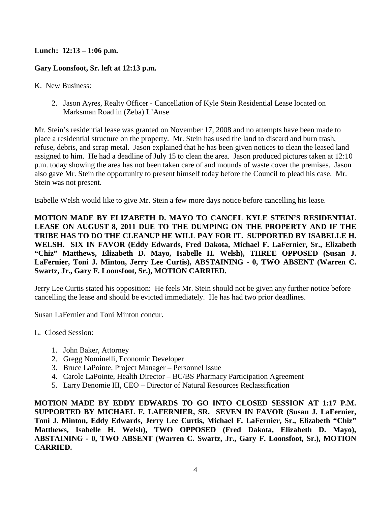# **Lunch: 12:13 – 1:06 p.m.**

## **Gary Loonsfoot, Sr. left at 12:13 p.m.**

K. New Business:

2. Jason Ayres, Realty Officer - Cancellation of Kyle Stein Residential Lease located on Marksman Road in (Zeba) L'Anse

Mr. Stein's residential lease was granted on November 17, 2008 and no attempts have been made to place a residential structure on the property. Mr. Stein has used the land to discard and burn trash, refuse, debris, and scrap metal. Jason explained that he has been given notices to clean the leased land assigned to him. He had a deadline of July 15 to clean the area. Jason produced pictures taken at 12:10 p.m. today showing the area has not been taken care of and mounds of waste cover the premises. Jason also gave Mr. Stein the opportunity to present himself today before the Council to plead his case. Mr. Stein was not present.

Isabelle Welsh would like to give Mr. Stein a few more days notice before cancelling his lease.

**MOTION MADE BY ELIZABETH D. MAYO TO CANCEL KYLE STEIN'S RESIDENTIAL LEASE ON AUGUST 8, 2011 DUE TO THE DUMPING ON THE PROPERTY AND IF THE TRIBE HAS TO DO THE CLEANUP HE WILL PAY FOR IT. SUPPORTED BY ISABELLE H. WELSH. SIX IN FAVOR (Eddy Edwards, Fred Dakota, Michael F. LaFernier, Sr., Elizabeth "Chiz" Matthews, Elizabeth D. Mayo, Isabelle H. Welsh), THREE OPPOSED (Susan J. LaFernier, Toni J. Minton, Jerry Lee Curtis), ABSTAINING - 0, TWO ABSENT (Warren C. Swartz, Jr., Gary F. Loonsfoot, Sr.), MOTION CARRIED.** 

Jerry Lee Curtis stated his opposition: He feels Mr. Stein should not be given any further notice before cancelling the lease and should be evicted immediately. He has had two prior deadlines.

Susan LaFernier and Toni Minton concur.

- L. Closed Session:
	- 1. John Baker, Attorney
	- 2. Gregg Nominelli, Economic Developer
	- 3. Bruce LaPointe, Project Manager Personnel Issue
	- 4. Carole LaPointe, Health Director BC/BS Pharmacy Participation Agreement
	- 5. Larry Denomie III, CEO Director of Natural Resources Reclassification

**MOTION MADE BY EDDY EDWARDS TO GO INTO CLOSED SESSION AT 1:17 P.M. SUPPORTED BY MICHAEL F. LAFERNIER, SR. SEVEN IN FAVOR (Susan J. LaFernier, Toni J. Minton, Eddy Edwards, Jerry Lee Curtis, Michael F. LaFernier, Sr., Elizabeth "Chiz" Matthews, Isabelle H. Welsh), TWO OPPOSED (Fred Dakota, Elizabeth D. Mayo), ABSTAINING - 0, TWO ABSENT (Warren C. Swartz, Jr., Gary F. Loonsfoot, Sr.), MOTION CARRIED.**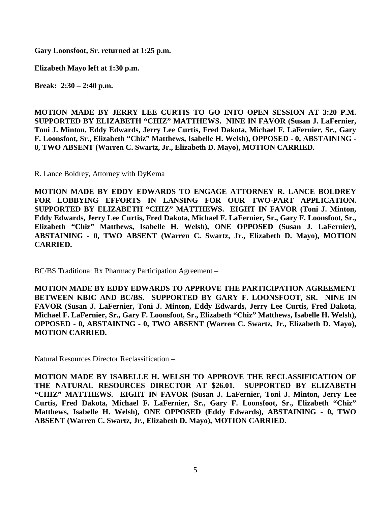**Gary Loonsfoot, Sr. returned at 1:25 p.m.** 

**Elizabeth Mayo left at 1:30 p.m.**

**Break: 2:30 – 2:40 p.m.** 

**MOTION MADE BY JERRY LEE CURTIS TO GO INTO OPEN SESSION AT 3:20 P.M. SUPPORTED BY ELIZABETH "CHIZ" MATTHEWS. NINE IN FAVOR (Susan J. LaFernier, Toni J. Minton, Eddy Edwards, Jerry Lee Curtis, Fred Dakota, Michael F. LaFernier, Sr., Gary F. Loonsfoot, Sr., Elizabeth "Chiz" Matthews, Isabelle H. Welsh), OPPOSED - 0, ABSTAINING - 0, TWO ABSENT (Warren C. Swartz, Jr., Elizabeth D. Mayo), MOTION CARRIED.** 

R. Lance Boldrey, Attorney with DyKema

**MOTION MADE BY EDDY EDWARDS TO ENGAGE ATTORNEY R. LANCE BOLDREY FOR LOBBYING EFFORTS IN LANSING FOR OUR TWO-PART APPLICATION. SUPPORTED BY ELIZABETH "CHIZ" MATTHEWS. EIGHT IN FAVOR (Toni J. Minton, Eddy Edwards, Jerry Lee Curtis, Fred Dakota, Michael F. LaFernier, Sr., Gary F. Loonsfoot, Sr., Elizabeth "Chiz" Matthews, Isabelle H. Welsh), ONE OPPOSED (Susan J. LaFernier), ABSTAINING - 0, TWO ABSENT (Warren C. Swartz, Jr., Elizabeth D. Mayo), MOTION CARRIED.**

BC/BS Traditional Rx Pharmacy Participation Agreement –

**MOTION MADE BY EDDY EDWARDS TO APPROVE THE PARTICIPATION AGREEMENT BETWEEN KBIC AND BC/BS. SUPPORTED BY GARY F. LOONSFOOT, SR. NINE IN FAVOR (Susan J. LaFernier, Toni J. Minton, Eddy Edwards, Jerry Lee Curtis, Fred Dakota, Michael F. LaFernier, Sr., Gary F. Loonsfoot, Sr., Elizabeth "Chiz" Matthews, Isabelle H. Welsh), OPPOSED - 0, ABSTAINING - 0, TWO ABSENT (Warren C. Swartz, Jr., Elizabeth D. Mayo), MOTION CARRIED.**

Natural Resources Director Reclassification –

**MOTION MADE BY ISABELLE H. WELSH TO APPROVE THE RECLASSIFICATION OF THE NATURAL RESOURCES DIRECTOR AT \$26.01. SUPPORTED BY ELIZABETH "CHIZ" MATTHEWS. EIGHT IN FAVOR (Susan J. LaFernier, Toni J. Minton, Jerry Lee Curtis, Fred Dakota, Michael F. LaFernier, Sr., Gary F. Loonsfoot, Sr., Elizabeth "Chiz" Matthews, Isabelle H. Welsh), ONE OPPOSED (Eddy Edwards), ABSTAINING - 0, TWO ABSENT (Warren C. Swartz, Jr., Elizabeth D. Mayo), MOTION CARRIED.**